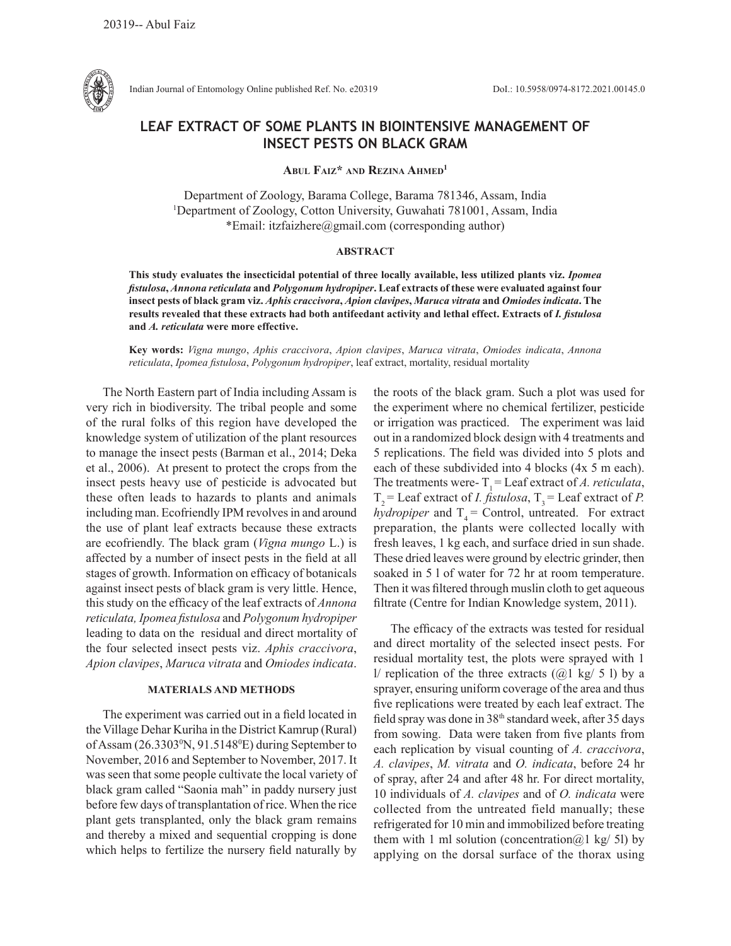

Indian Journal of Entomology Online published Ref. No. e20319 DoI.: 10.5958/0974-8172.2021.00145.0

# **LEAF EXTRACT OF SOME PLANTS IN BIOINTENSIVE MANAGEMENT OF INSECT PESTS ON BLACK GRAM**

**Abul Faiz\* and Rezina Ahmed1**

Department of Zoology, Barama College, Barama 781346, Assam, India 1 Department of Zoology, Cotton University, Guwahati 781001, Assam, India \*Email: itzfaizhere@gmail.com (corresponding author)

#### **ABSTRACT**

**This study evaluates the insecticidal potential of three locally available, less utilized plants viz.** *Ipomea fistulosa***,** *Annona reticulata* **and** *Polygonum hydropiper***. Leaf extracts of these were evaluated against four insect pests of black gram viz.** *Aphis craccivora***,** *Apion clavipes***,** *Maruca vitrata* **and** *Omiodes indicata***. The**  results revealed that these extracts had both antifeedant activity and lethal effect. Extracts of *I. fistulosa* **and** *A. reticulata* **were more effective.** 

**Key words:** *Vigna mungo*, *Aphis craccivora*, *Apion clavipes*, *Maruca vitrata*, *Omiodes indicata*, *Annona reticulata*, *Ipomea fistulosa*, *Polygonum hydropiper*, leaf extract, mortality, residual mortality

The North Eastern part of India including Assam is very rich in biodiversity. The tribal people and some of the rural folks of this region have developed the knowledge system of utilization of the plant resources to manage the insect pests (Barman et al., 2014; Deka et al., 2006). At present to protect the crops from the insect pests heavy use of pesticide is advocated but these often leads to hazards to plants and animals including man. Ecofriendly IPM revolves in and around the use of plant leaf extracts because these extracts are ecofriendly. The black gram (*Vigna mungo* L.) is affected by a number of insect pests in the field at all stages of growth. Information on efficacy of botanicals against insect pests of black gram is very little. Hence, this study on the efficacy of the leaf extracts of *Annona reticulata, Ipomea fistulosa* and *Polygonum hydropiper*  leading to data on the residual and direct mortality of the four selected insect pests viz. *Aphis craccivora*, *Apion clavipes*, *Maruca vitrata* and *Omiodes indicata*.

## **MATERIALS AND METHODS**

The experiment was carried out in a field located in the Village Dehar Kuriha in the District Kamrup (Rural) of Assam (26.3303<sup>°</sup>N, 91.5148<sup>°</sup>E) during September to November, 2016 and September to November, 2017. It was seen that some people cultivate the local variety of black gram called "Saonia mah" in paddy nursery just before few days of transplantation of rice. When the rice plant gets transplanted, only the black gram remains and thereby a mixed and sequential cropping is done which helps to fertilize the nursery field naturally by

the roots of the black gram. Such a plot was used for the experiment where no chemical fertilizer, pesticide or irrigation was practiced. The experiment was laid out in a randomized block design with 4 treatments and 5 replications. The field was divided into 5 plots and each of these subdivided into 4 blocks (4x 5 m each). The treatments were- $T_1$  = Leaf extract of *A. reticulata*,  $T<sub>2</sub>$  = Leaf extract of *I. fistulosa*,  $T<sub>3</sub>$  = Leaf extract of *P*. *hydropiper* and  $T_4$  = Control, untreated. For extract preparation, the plants were collected locally with fresh leaves, 1 kg each, and surface dried in sun shade. These dried leaves were ground by electric grinder, then soaked in 5 l of water for 72 hr at room temperature. Then it was filtered through muslin cloth to get aqueous filtrate (Centre for Indian Knowledge system, 2011).

The efficacy of the extracts was tested for residual and direct mortality of the selected insect pests. For residual mortality test, the plots were sprayed with 1 l/ replication of the three extracts  $(Q_1 \text{ kg}/ 5 \text{ l})$  by a sprayer, ensuring uniform coverage of the area and thus five replications were treated by each leaf extract. The field spray was done in 38<sup>th</sup> standard week, after 35 days from sowing. Data were taken from five plants from each replication by visual counting of *A. craccivora*, *A. clavipes*, *M. vitrata* and *O. indicata*, before 24 hr of spray, after 24 and after 48 hr. For direct mortality, 10 individuals of *A. clavipes* and of *O. indicata* were collected from the untreated field manually; these refrigerated for 10 min and immobilized before treating them with 1 ml solution (concentration  $(a)$ 1 kg/ 5l) by applying on the dorsal surface of the thorax using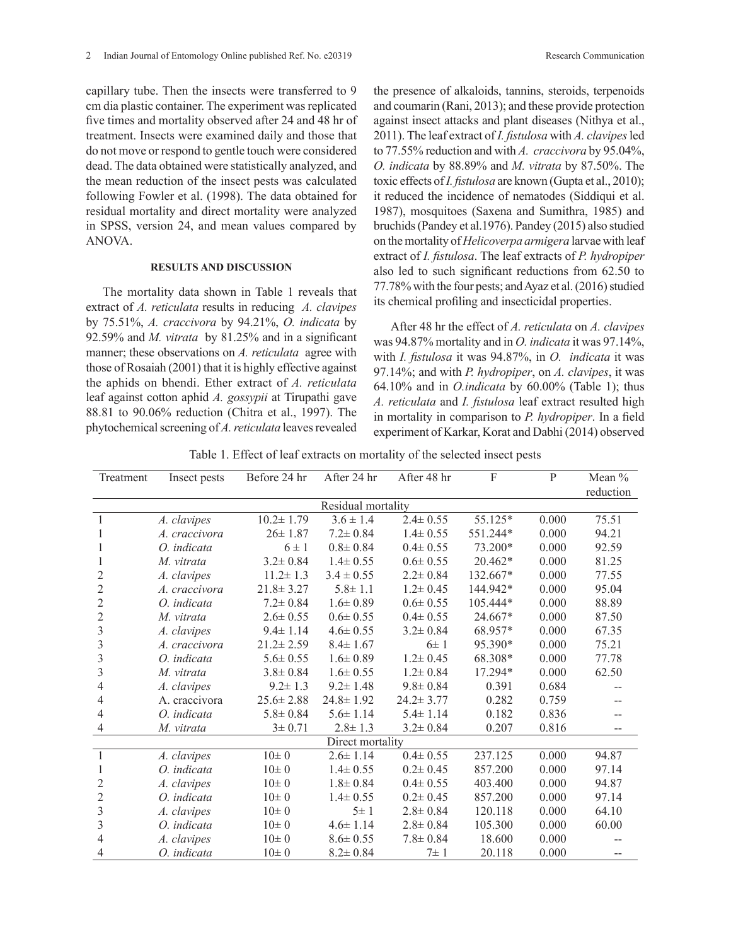capillary tube. Then the insects were transferred to 9 cm dia plastic container. The experiment was replicated five times and mortality observed after 24 and 48 hr of treatment. Insects were examined daily and those that do not move or respond to gentle touch were considered dead. The data obtained were statistically analyzed, and the mean reduction of the insect pests was calculated following Fowler et al. (1998). The data obtained for residual mortality and direct mortality were analyzed in SPSS, version 24, and mean values compared by ANOVA.

### **RESULTS AND DISCUSSION**

The mortality data shown in Table 1 reveals that extract of *A. reticulata* results in reducing *A. clavipes* by 75.51%, *A. craccivora* by 94.21%, *O. indicata* by 92.59% and *M. vitrata* by 81.25% and in a significant manner; these observations on *A. reticulata* agree with those of Rosaiah (2001) that it is highly effective against the aphids on bhendi. Ether extract of *A. reticulata*  leaf against cotton aphid *A. gossypii* at Tirupathi gave 88.81 to 90.06% reduction (Chitra et al., 1997). The phytochemical screening of *A. reticulata* leaves revealed the presence of alkaloids, tannins, steroids, terpenoids and coumarin (Rani, 2013); and these provide protection against insect attacks and plant diseases (Nithya et al., 2011). The leaf extract of *I. fistulosa* with *A. clavipes* led to 77.55% reduction and with *A. craccivora* by 95.04%, *O. indicata* by 88.89% and *M. vitrata* by 87.50%. The toxic effects of *I. fistulosa* are known (Gupta et al., 2010); it reduced the incidence of nematodes (Siddiqui et al. 1987), mosquitoes (Saxena and Sumithra, 1985) and bruchids (Pandey et al.1976). Pandey (2015) also studied on the mortality of *Helicoverpa armigera* larvae with leaf extract of *I. fistulosa*. The leaf extracts of *P. hydropiper* also led to such significant reductions from 62.50 to 77.78% with the four pests; and Ayaz et al. (2016) studied its chemical profiling and insecticidal properties.

After 48 hr the effect of *A. reticulata* on *A. clavipes* was 94.87% mortality and in *O. indicata* it was 97.14%, with *I. fistulosa* it was 94.87%, in *O. indicata* it was 97.14%; and with *P. hydropiper*, on *A. clavipes*, it was 64.10% and in *O.indicata* by 60.00% (Table 1); thus *A. reticulata* and *I. fistulosa* leaf extract resulted high in mortality in comparison to *P. hydropiper*. In a field experiment of Karkar, Korat and Dabhi (2014) observed

Table 1. Effect of leaf extracts on mortality of the selected insect pests

| Treatment          | Insect pests  | Before 24 hr    | After 24 hr     | After 48 hr     | F        | P     | Mean %    |
|--------------------|---------------|-----------------|-----------------|-----------------|----------|-------|-----------|
|                    |               |                 |                 |                 |          |       | reduction |
| Residual mortality |               |                 |                 |                 |          |       |           |
| $\mathbf{1}$       | A. clavipes   | $10.2 \pm 1.79$ | $3.6 \pm 1.4$   | $2.4 \pm 0.55$  | 55.125*  | 0.000 | 75.51     |
|                    | A. craccivora | $26 \pm 1.87$   | $7.2 \pm 0.84$  | $1.4 \pm 0.55$  | 551.244* | 0.000 | 94.21     |
| 1                  | $O.$ indicata | $6 \pm 1$       | $0.8 \pm 0.84$  | $0.4 \pm 0.55$  | 73.200*  | 0.000 | 92.59     |
| 1                  | M. vitrata    | $3.2 \pm 0.84$  | $1.4 \pm 0.55$  | $0.6 \pm 0.55$  | 20.462*  | 0.000 | 81.25     |
| 2                  | A. clavipes   | $11.2 \pm 1.3$  | $3.4 \pm 0.55$  | $2.2 \pm 0.84$  | 132.667* | 0.000 | 77.55     |
| $\overline{c}$     | A. craccivora | $21.8 \pm 3.27$ | $5.8 \pm 1.1$   | $1.2 \pm 0.45$  | 144.942* | 0.000 | 95.04     |
| $\overline{2}$     | O. indicata   | $7.2 \pm 0.84$  | $1.6 \pm 0.89$  | $0.6 \pm 0.55$  | 105.444* | 0.000 | 88.89     |
| $\overline{c}$     | M. vitrata    | $2.6 \pm 0.55$  | $0.6 \pm 0.55$  | $0.4 \pm 0.55$  | 24.667*  | 0.000 | 87.50     |
| 3                  | A. clavipes   | $9.4 \pm 1.14$  | $4.6 \pm 0.55$  | $3.2 \pm 0.84$  | 68.957*  | 0.000 | 67.35     |
| 3                  | A. craccivora | $21.2 \pm 2.59$ | $8.4 \pm 1.67$  | $6\pm 1$        | 95.390*  | 0.000 | 75.21     |
| 3                  | O. indicata   | $5.6 \pm 0.55$  | $1.6 \pm 0.89$  | $1.2 \pm 0.45$  | 68.308*  | 0.000 | 77.78     |
| 3                  | M vitrata     | $3.8 \pm 0.84$  | $1.6 \pm 0.55$  | $1.2 \pm 0.84$  | 17.294*  | 0.000 | 62.50     |
| 4                  | A. clavipes   | $9.2 \pm 1.3$   | $9.2 \pm 1.48$  | $9.8 \pm 0.84$  | 0.391    | 0.684 |           |
| 4                  | A. craccivora | $25.6 \pm 2.88$ | $24.8 \pm 1.92$ | $24.2 \pm 3.77$ | 0.282    | 0.759 | --        |
| 4                  | $O.$ indicata | $5.8 \pm 0.84$  | $5.6 \pm 1.14$  | $5.4 \pm 1.14$  | 0.182    | 0.836 |           |
| 4                  | M. vitrata    | $3 \pm 0.71$    | $2.8 \pm 1.3$   | $3.2 \pm 0.84$  | 0.207    | 0.816 | --        |
| Direct mortality   |               |                 |                 |                 |          |       |           |
| $\mathbf{1}$       | A. clavipes   | $10\pm 0$       | $2.6 \pm 1.14$  | $0.4 \pm 0.55$  | 237.125  | 0.000 | 94.87     |
| 1                  | O. indicata   | $10\pm 0$       | $1.4 \pm 0.55$  | $0.2 \pm 0.45$  | 857.200  | 0.000 | 97.14     |
| 2                  | A. clavipes   | $10\pm 0$       | $1.8 \pm 0.84$  | $0.4 \pm 0.55$  | 403.400  | 0.000 | 94.87     |
| $\overline{2}$     | O. indicata   | $10\pm 0$       | $1.4 \pm 0.55$  | $0.2 \pm 0.45$  | 857.200  | 0.000 | 97.14     |
| 3                  | A. clavipes   | $10\pm 0$       | $5\pm1$         | $2.8 \pm 0.84$  | 120.118  | 0.000 | 64.10     |
| 3                  | O. indicata   | $10\pm 0$       | $4.6 \pm 1.14$  | $2.8 \pm 0.84$  | 105.300  | 0.000 | 60.00     |
| 4                  | A. clavipes   | $10\pm 0$       | $8.6 \pm 0.55$  | $7.8 \pm 0.84$  | 18.600   | 0.000 |           |
| 4                  | O. indicata   | $10\pm 0$       | $8.2 \pm 0.84$  | $7\pm1$         | 20.118   | 0.000 | $-$       |